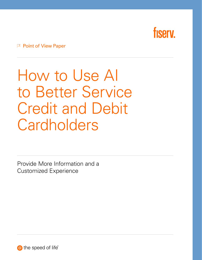

#### $\vert$  Point of View Paper

# How to Use AI to Better Service Credit and Debit **Cardholders**

Provide More Information and a Customized Experience

the speed of life®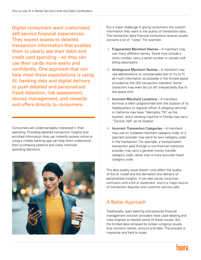Digital consumers want customized, self-service financial experiences. They expect access to detailed transaction information that enables them to clearly see their debit and credit card spending – so they can use their cards more easily and confidently. One approach that can help meet these expectations is using AI, banking data and digital delivery to push detailed and personalized fraud detection, risk assessment, money management, and rewards and offers directly to consumers.

Consumers are understandably interested in their spending. Providing detailed transaction insights and enriched information they can instantly access online or using a mobile banking app can help them understand their purchasing patterns and make informed spending decisions.



But a major challenge in giving consumers the custom information they want is the quality of transaction data. The transaction data financial institutions receive usually contains a lot of "noise." For example:

- $\rightarrow$  Fragmented Merchant Names – A merchant may use many different names. Some may include a store number, carry a serial number or contain soft billing descriptors
- $\rightarrow$  Ambiguous Merchant Names A merchant may use abbreviations or concatenated text to try to fit as much information as possible in the limited space provided by the ISO transaction standard. Some characters may even be cut off unexpectedly due to the space limit
- $\rightarrow$  Incorrect Merchant Locations A merchant terminal is often programmed with the location of its headquarters or regional office. A shipping terminal in California may have "Memphis, TN" as the location, and a vending machine in Florida may carry "Tukwila, WA" as its location
- $\rightarrow$  Incorrect Transaction Categories – A merchant may use an outdated merchant category code, or a payment provider may send its own category code in the transaction. For example, a transportation transaction paid through a non-financial institution provider may carry a general money transfer category code, rather than a more accurate travel category code

The data quality issue doesn't only affect the quality of the AI model and the derivation and delivery of personalized insights. It can also cause consumer confusion with a bill or statement, and is a major source of transaction disputes and customer service calls.

### A Better Approach

Traditionally, open banking and personal financial management solution providers have used labeling and rules engines to resolve some of these issues. But the limited data retrieved by screen scraping usually only contains names, amount and date. The process is imprecise and hard to scale.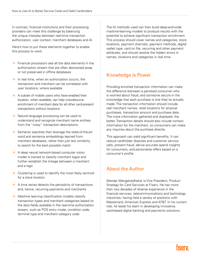In contrast, financial institutions and their processing providers can meet this challenge by balancing the unique interplay between real-time transaction authorization, user context, merchant databases and AI.

Here's how to put these elements together to enable this process to work:

- $\rightarrow$  Financial processors see all the data elements in the authorization stream that are often abstracted away or not preserved in offline databases
- $\rightarrow$  In real time, when an authorization occurs, the transaction and merchant can be correlated with user locations, where available
- $\rightarrow$  A subset of mobile users who have enabled their location, when available, can help crowdsource enrichment of merchant data for all other card-present transactions without locations
- $\rightarrow$  Natural language processing can be used to understand and recognize merchant name entities from the "noisy" transaction descriptions
- $\rightarrow$  Semantic searches then leverage the state-of-the-art word and sentence embeddings learned from merchant databases, rather than just text similarity, to search for the best possible match
- $\rightarrow$  A deep neural network-based computer vision model is trained to classify merchant logos and further establish the linkage between a merchant and a logo
- $\rightarrow$  Clustering is used to identify the most likely centroid for a store location
- $\rightarrow$  A time series detects the periodicity of transactions and, hence, recurring payments and merchants
- $\rightarrow$  Machine learning classification models classify transaction types and merchant categories based on the data fields available in the real-time authorization stream, such as POS entry mode, condition code, terminal type and merchant category code

The AI methods used can then build deep-and-wide machine-learning models to produce results with the potential to achieve significant transaction enrichment. This process should cover names and categories, store locations, payment channels, payment methods, digital wallet type, card on file, recurring and other payment attributes, and should resolve the hidden errors in names, locations and categories in real time.

#### Knowledge Is Power

Providing enriched transaction information can make the difference between a panicked consumer who is worried about fraud, and someone secure in the knowledge that each purchase is one they've actually made. The transaction information should include real merchant names, retail locations for physical purchases, transaction amount and purchase date. The more information gathered and displayed, the better. Transaction details should also include contact information for the merchant, so consumers can make any inquiries about the purchase directly.

This approach can yield significant benefits. It can reduce cardholder disputes and customer service calls, prevent fraud, derive accurate spend insights for consumers, and personalize offers based on a consumer's profile.

#### About the Author

Mandar Mangalvedhekar is Vice President, Product Strategy for Card Services at Fiserv. He has more than two decades of diverse experience in the financial services, telecommunications and technology industries, having held a variety of positions with Mastercard, American Express and AT&T. In his current role, he leads his team in developing innovative, card-based digital banking and payments solutions.